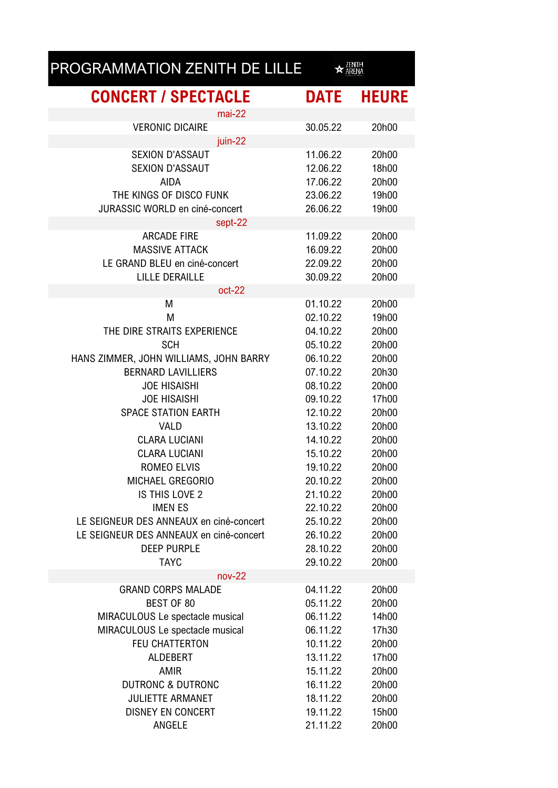## PROGRAMMATION ZENITH DE LILLE  $\star$  ZENITH

| <b>CONCERT / SPECTACLE</b>              | DATE     | <b>HEURE</b> |
|-----------------------------------------|----------|--------------|
| $mai-22$                                |          |              |
| <b>VERONIC DICAIRE</b>                  | 30.05.22 | 20h00        |
| juin-22                                 |          |              |
| <b>SEXION D'ASSAUT</b>                  | 11.06.22 | 20h00        |
| <b>SEXION D'ASSAUT</b>                  | 12.06.22 | 18h00        |
| <b>AIDA</b>                             | 17.06.22 | 20h00        |
| THE KINGS OF DISCO FUNK                 | 23.06.22 | 19h00        |
| <b>JURASSIC WORLD en ciné-concert</b>   | 26.06.22 | 19h00        |
| sept-22                                 |          |              |
| <b>ARCADE FIRE</b>                      | 11.09.22 | 20h00        |
| <b>MASSIVE ATTACK</b>                   | 16.09.22 | 20h00        |
| LE GRAND BLEU en ciné-concert           | 22.09.22 | 20h00        |
| <b>LILLE DERAILLE</b>                   | 30.09.22 | 20h00        |
| oct-22                                  |          |              |
| М                                       | 01.10.22 | 20h00        |
| M                                       | 02.10.22 | 19h00        |
| THE DIRE STRAITS EXPERIENCE             | 04.10.22 | 20h00        |
| <b>SCH</b>                              | 05.10.22 | 20h00        |
| HANS ZIMMER, JOHN WILLIAMS, JOHN BARRY  | 06.10.22 | 20h00        |
| <b>BERNARD LAVILLIERS</b>               | 07.10.22 | 20h30        |
| <b>JOE HISAISHI</b>                     | 08.10.22 | 20h00        |
| <b>JOE HISAISHI</b>                     | 09.10.22 | 17h00        |
| <b>SPACE STATION EARTH</b>              | 12.10.22 | 20h00        |
| <b>VALD</b>                             | 13.10.22 | 20h00        |
| <b>CLARA LUCIANI</b>                    | 14.10.22 | 20h00        |
| <b>CLARA LUCIANI</b>                    | 15.10.22 | 20h00        |
| <b>ROMEO ELVIS</b>                      | 19.10.22 | 20h00        |
| MICHAEL GREGORIO                        | 20.10.22 | 20h00        |
| IS THIS LOVE 2                          | 21.10.22 | 20h00        |
| <b>IMEN ES</b>                          | 22.10.22 | 20h00        |
| LE SEIGNEUR DES ANNEAUX en ciné-concert | 25.10.22 | 20h00        |
| LE SEIGNEUR DES ANNEAUX en ciné-concert | 26.10.22 | 20h00        |
| <b>DEEP PURPLE</b>                      | 28.10.22 | 20h00        |
| <b>TAYC</b>                             | 29.10.22 | 20h00        |
| $nov-22$                                |          |              |
| <b>GRAND CORPS MALADE</b>               | 04.11.22 | 20h00        |
| <b>BEST OF 80</b>                       | 05.11.22 | 20h00        |
| MIRACULOUS Le spectacle musical         | 06.11.22 | 14h00        |
| MIRACULOUS Le spectacle musical         | 06.11.22 | 17h30        |
| <b>FEU CHATTERTON</b>                   | 10.11.22 | 20h00        |
| <b>ALDEBERT</b>                         | 13.11.22 | 17h00        |
| <b>AMIR</b>                             | 15.11.22 | 20h00        |
| <b>DUTRONC &amp; DUTRONC</b>            | 16.11.22 | 20h00        |
| <b>JULIETTE ARMANET</b>                 | 18.11.22 | 20h00        |
| <b>DISNEY EN CONCERT</b>                | 19.11.22 | 15h00        |
| ANGELE                                  | 21.11.22 | 20h00        |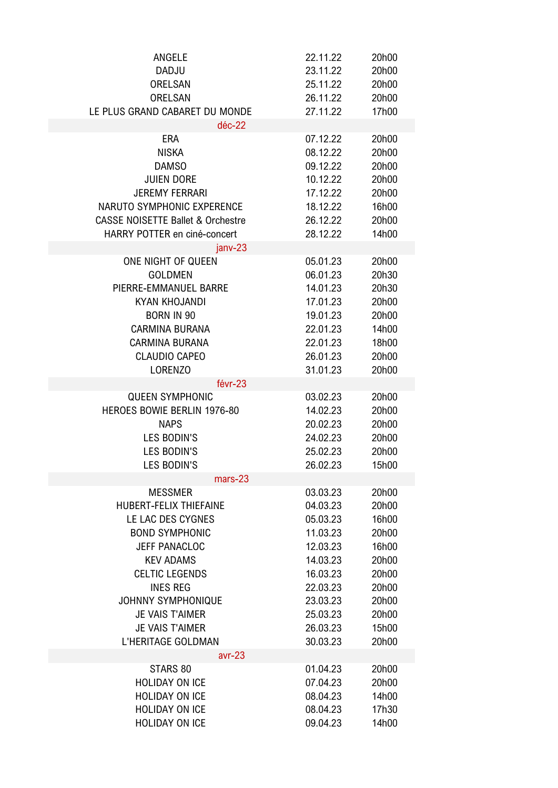| ANGELE                                       | 22.11.22 | 20h00 |
|----------------------------------------------|----------|-------|
| <b>DADJU</b>                                 | 23.11.22 | 20h00 |
| <b>ORELSAN</b>                               | 25.11.22 | 20h00 |
| <b>ORELSAN</b>                               | 26.11.22 | 20h00 |
| LE PLUS GRAND CABARET DU MONDE               | 27.11.22 | 17h00 |
| $d$ éc-22                                    |          |       |
| <b>ERA</b>                                   | 07.12.22 | 20h00 |
| <b>NISKA</b>                                 | 08.12.22 | 20h00 |
| <b>DAMSO</b>                                 | 09.12.22 | 20h00 |
| <b>JUIEN DORE</b>                            | 10.12.22 | 20h00 |
| <b>JEREMY FERRARI</b>                        | 17.12.22 | 20h00 |
| NARUTO SYMPHONIC EXPERENCE                   |          |       |
|                                              | 18.12.22 | 16h00 |
| <b>CASSE NOISETTE Ballet &amp; Orchestre</b> | 26.12.22 | 20h00 |
| HARRY POTTER en ciné-concert                 | 28.12.22 | 14h00 |
| janv-23                                      |          |       |
| ONE NIGHT OF QUEEN                           | 05.01.23 | 20h00 |
| <b>GOLDMEN</b>                               | 06.01.23 | 20h30 |
| PIERRE-EMMANUEL BARRE                        | 14.01.23 | 20h30 |
| <b>KYAN KHOJANDI</b>                         | 17.01.23 | 20h00 |
| <b>BORN IN 90</b>                            | 19.01.23 | 20h00 |
| <b>CARMINA BURANA</b>                        | 22.01.23 | 14h00 |
| <b>CARMINA BURANA</b>                        | 22.01.23 | 18h00 |
| <b>CLAUDIO CAPEO</b>                         | 26.01.23 | 20h00 |
| LORENZO                                      | 31.01.23 | 20h00 |
| févr-23                                      |          |       |
| <b>QUEEN SYMPHONIC</b>                       | 03.02.23 | 20h00 |
| HEROES BOWIE BERLIN 1976-80                  | 14.02.23 | 20h00 |
| <b>NAPS</b>                                  | 20.02.23 | 20h00 |
| <b>LES BODIN'S</b>                           | 24.02.23 | 20h00 |
| <b>LES BODIN'S</b>                           | 25.02.23 | 20h00 |
| <b>LES BODIN'S</b>                           | 26.02.23 | 15h00 |
| mars-23                                      |          |       |
| <b>MESSMER</b>                               | 03.03.23 | 20h00 |
| <b>HUBERT-FELIX THIEFAINE</b>                | 04.03.23 | 20h00 |
| LE LAC DES CYGNES                            | 05.03.23 | 16h00 |
| <b>BOND SYMPHONIC</b>                        | 11.03.23 | 20h00 |
| <b>JEFF PANACLOC</b>                         | 12.03.23 | 16h00 |
| <b>KEV ADAMS</b>                             | 14.03.23 | 20h00 |
| <b>CELTIC LEGENDS</b>                        | 16.03.23 | 20h00 |
| <b>INES REG</b>                              | 22.03.23 | 20h00 |
| <b>JOHNNY SYMPHONIQUE</b>                    | 23.03.23 | 20h00 |
| <b>JE VAIS T'AIMER</b>                       | 25.03.23 | 20h00 |
|                                              |          |       |
| <b>JE VAIS T'AIMER</b>                       | 26.03.23 | 15h00 |
| L'HERITAGE GOLDMAN                           | 30.03.23 | 20h00 |
| $avr-23$                                     |          |       |
| STARS 80                                     | 01.04.23 | 20h00 |
| <b>HOLIDAY ON ICE</b>                        | 07.04.23 | 20h00 |
| <b>HOLIDAY ON ICE</b>                        | 08.04.23 | 14h00 |
| <b>HOLIDAY ON ICE</b>                        | 08.04.23 | 17h30 |
| <b>HOLIDAY ON ICE</b>                        | 09.04.23 | 14h00 |